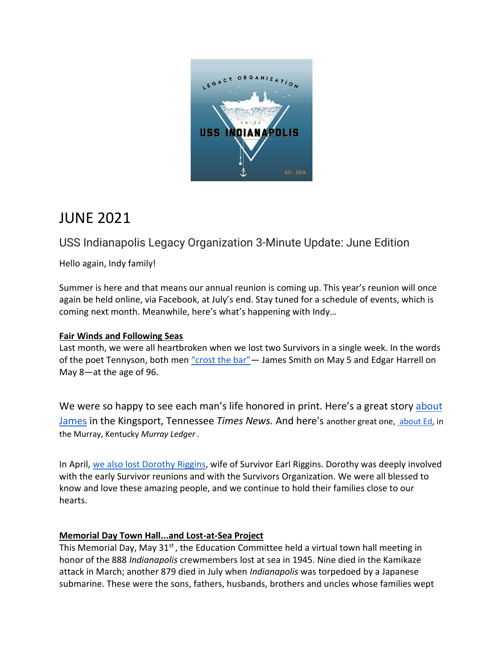

# JUNE 2021

## USS Indianapolis Legacy Organization 3-Minute Update: June Edition

Hello again, Indy family!

Summer is here and that means our annual reunion is coming up. This year's reunion will once again be held online, via Facebook, at July's end. Stay tuned for a schedule of events, which is coming next month. Meanwhile, here's what's happening with Indy…

## **Fair Winds and Following Seas**

Last month, we were all heartbroken when we lost two Survivors in a single week. In the words of the poet Tennyson, both men "crost the bar" - James Smith on May 5 and Edgar Harrell on May 8—at the age of 96.

We were so happy to see each man's life honored in print. Here's a great story about [James](https://www.timesnews.net/living/mount-carmel-man-among-last-survivors-of-uss-indianapolis-passes-away-at-96/article_bfbad200-af7a-11eb-a9ac-57aa06ef812b.html) in the Kingsport, Tennessee *Times News.* And here's another great one, [about Ed,](https://www.murrayledger.com/news/local/murrayans-remember-uss-indianapolis-survivor-harrell/article_a575b566-b1f7-11eb-aa42-e3e4e19400f3.html) in the Murray, Kentucky *Murray Ledger .*

In April, [we also lost Dorothy](http://www.news-gazette.com/tncms/asset/editorial/67328d0a-aad2-11eb-ba4d-8b10237aa408) Riggins, wife of Survivor Earl Riggins. Dorothy was deeply involved with the early Survivor reunions and with the Survivors Organization. We were all blessed to know and love these amazing people, and we continue to hold their families close to our hearts.

## **Memorial Day Town Hall...and Lost-at-Sea Project**

This Memorial Day, May  $31<sup>st</sup>$ , the Education Committee held a virtual town hall meeting in honor of the 888 *Indianapolis* crewmembers lost at sea in 1945. Nine died in the Kamikaze attack in March; another 879 died in July when *Indianapolis* was torpedoed by a Japanese submarine. These were the sons, fathers, husbands, brothers and uncles whose families wept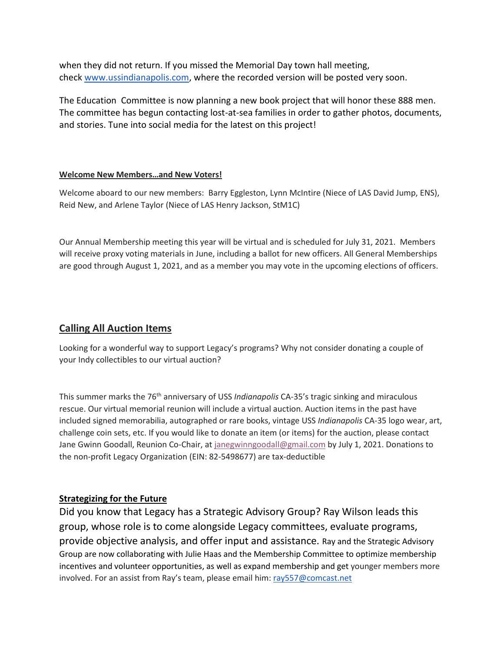when they did not return. If you missed the Memorial Day town hall meeting, check [www.ussindianapolis.com,](http://www.ussindianapolis.com/) where the recorded version will be posted very soon.

The Education Committee is now planning a new book project that will honor these 888 men. The committee has begun contacting lost-at-sea families in order to gather photos, documents, and stories. Tune into social media for the latest on this project!

#### **Welcome New Members…and New Voters!**

Welcome aboard to our new members: Barry Eggleston, Lynn McIntire (Niece of LAS David Jump, ENS), Reid New, and Arlene Taylor (Niece of LAS Henry Jackson, StM1C)

Our Annual Membership meeting this year will be virtual and is scheduled for July 31, 2021. Members will receive proxy voting materials in June, including a ballot for new officers. All General Memberships are good through August 1, 2021, and as a member you may vote in the upcoming elections of officers.

## **Calling All Auction Items**

Looking for a wonderful way to support Legacy's programs? Why not consider donating a couple of your Indy collectibles to our virtual auction?

This summer marks the 76<sup>th</sup> anniversary of USS *Indianapolis* CA-35's tragic sinking and miraculous rescue. Our virtual memorial reunion will include a virtual auction. Auction items in the past have included signed memorabilia, autographed or rare books, vintage USS *Indianapolis* CA-35 logo wear, art, challenge coin sets, etc. If you would like to donate an item (or items) for the auction, please contact Jane Gwinn Goodall, Reunion Co-Chair, at [janegwinngoodall@gmail.com](mailto:janegwinngoodall@gmail.com) by July 1, 2021. Donations to the non-profit Legacy Organization (EIN: 82-5498677) are tax-deductible

#### **Strategizing for the Future**

Did you know that Legacy has a Strategic Advisory Group? Ray Wilson leads this group, whose role is to come alongside Legacy committees, evaluate programs, provide objective analysis, and offer input and assistance. Ray and the Strategic Advisory Group are now collaborating with Julie Haas and the Membership Committee to optimize membership incentives and volunteer opportunities, as well as expand membership and get younger members more involved. For an assist from Ray's team, please email him: [ray557@comcast.net](mailto:ray557@comcast.net)